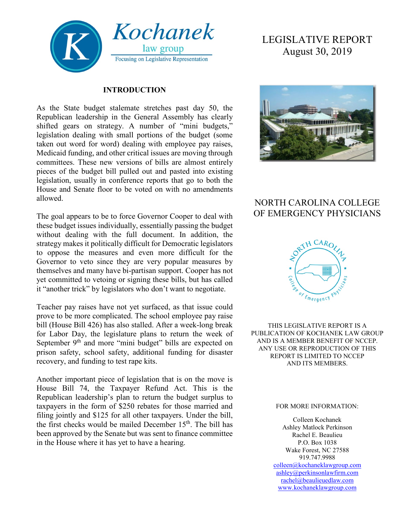

### **INTRODUCTION**

As the State budget stalemate stretches past day 50, the Republican leadership in the General Assembly has clearly shifted gears on strategy. A number of "mini budgets," legislation dealing with small portions of the budget (some taken out word for word) dealing with employee pay raises, Medicaid funding, and other critical issues are moving through committees. These new versions of bills are almost entirely pieces of the budget bill pulled out and pasted into existing legislation, usually in conference reports that go to both the House and Senate floor to be voted on with no amendments allowed.

The goal appears to be to force Governor Cooper to deal with these budget issues individually, essentially passing the budget without dealing with the full document. In addition, the strategy makes it politically difficult for Democratic legislators to oppose the measures and even more difficult for the Governor to veto since they are very popular measures by themselves and many have bi-partisan support. Cooper has not yet committed to vetoing or signing these bills, but has called it "another trick" by legislators who don't want to negotiate.

Teacher pay raises have not yet surfaced, as that issue could prove to be more complicated. The school employee pay raise bill (House Bill 426) has also stalled. After a week-long break for Labor Day, the legislature plans to return the week of September 9<sup>th</sup> and more "mini budget" bills are expected on prison safety, school safety, additional funding for disaster recovery, and funding to test rape kits.

Another important piece of legislation that is on the move is House Bill 74, the Taxpayer Refund Act. This is the Republican leadership's plan to return the budget surplus to taxpayers in the form of \$250 rebates for those married and filing jointly and \$125 for all other taxpayers. Under the bill, the first checks would be mailed December  $15<sup>th</sup>$ . The bill has been approved by the Senate but was sent to finance committee in the House where it has yet to have a hearing.

# LEGISLATIVE REPORT August 30, 2019



# NORTH CAROLINA COLLEGE OF EMERGENCY PHYSICIANS



THIS LEGISLATIVE REPORT IS A PUBLICATION OF KOCHANEK LAW GROUP AND IS A MEMBER BENEFIT OF NCCEP. ANY USE OR REPRODUCTION OF THIS REPORT IS LIMITED TO NCCEP AND ITS MEMBERS.

#### FOR MORE INFORMATION:

Colleen Kochanek Ashley Matlock Perkinson Rachel E. Beaulieu P.O. Box 1038 Wake Forest, NC 27588 919.747.9988 [colleen@kochaneklawgroup.com](mailto:colleen@kochaneklawgroup.com) [ashley@perkinsonlawfirm.com](mailto:ashley@perkinsonlawfirm.com) [rachel@beaulieuedlaw.com](mailto:rachel@beaulieuedlaw.com) [www.kochaneklawgroup.com](http://www.kochaneklawgroup.com/)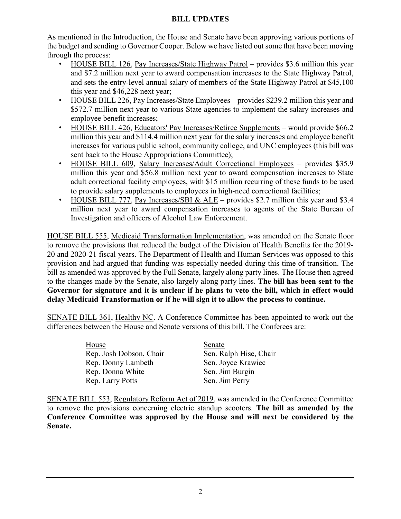### **BILL UPDATES**

As mentioned in the Introduction, the House and Senate have been approving various portions of the budget and sending to Governor Cooper. Below we have listed out some that have been moving through the process:

- HOUSE BILL 126, Pay Increases/State Highway Patrol provides \$3.6 million this year and \$7.2 million next year to award compensation increases to the State Highway Patrol, and sets the entry-level annual salary of members of the State Highway Patrol at \$45,100 this year and \$46,228 next year;
- HOUSE BILL 226, Pay Increases/State Employees provides \$239.2 million this year and \$572.7 million next year to various State agencies to implement the salary increases and employee benefit increases;
- HOUSE BILL 426, Educators' Pay Increases/Retiree Supplements would provide \$66.2 million this year and \$114.4 million next year for the salary increases and employee benefit increases for various public school, community college, and UNC employees (this bill was sent back to the House Appropriations Committee);
- HOUSE BILL 609, Salary Increases/Adult Correctional Employees provides \$35.9 million this year and \$56.8 million next year to award compensation increases to State adult correctional facility employees, with \$15 million recurring of these funds to be used to provide salary supplements to employees in high-need correctional facilities;
- HOUSE BILL 777, Pay Increases/SBI & ALE provides \$2.7 million this year and \$3.4 million next year to award compensation increases to agents of the State Bureau of Investigation and officers of Alcohol Law Enforcement.

HOUSE BILL 555, Medicaid Transformation Implementation, was amended on the Senate floor to remove the provisions that reduced the budget of the Division of Health Benefits for the 2019- 20 and 2020-21 fiscal years. The Department of Health and Human Services was opposed to this provision and had argued that funding was especially needed during this time of transition. The bill as amended was approved by the Full Senate, largely along party lines. The House then agreed to the changes made by the Senate, also largely along party lines. **The bill has been sent to the Governor for signature and it is unclear if he plans to veto the bill, which in effect would delay Medicaid Transformation or if he will sign it to allow the process to continue.**

SENATE BILL 361, Healthy NC. A Conference Committee has been appointed to work out the differences between the House and Senate versions of this bill. The Conferees are:

> House<br>
> Rep. Josh Dobson, Chair<br>
> Sen. Ralph Hise, Chair Rep. Josh Dobson, Chair Rep. Donny Lambeth Sen. Joyce Krawiec Rep. Donna White Sen. Jim Burgin Rep. Larry Potts Sen. Jim Perry

SENATE BILL 553, Regulatory Reform Act of 2019, was amended in the Conference Committee to remove the provisions concerning electric standup scooters. **The bill as amended by the Conference Committee was approved by the House and will next be considered by the Senate.**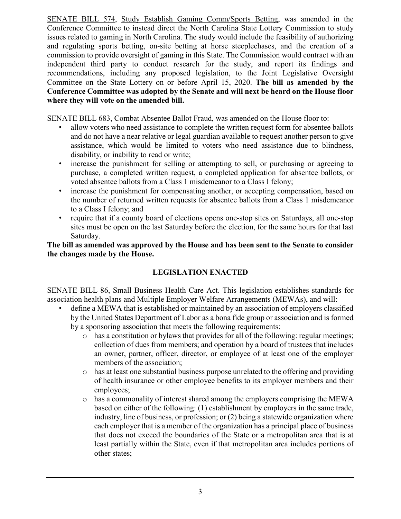SENATE BILL 574, Study Establish Gaming Comm/Sports Betting, was amended in the Conference Committee to instead direct the North Carolina State Lottery Commission to study issues related to gaming in North Carolina. The study would include the feasibility of authorizing and regulating sports betting, on-site betting at horse steeplechases, and the creation of a commission to provide oversight of gaming in this State. The Commission would contract with an independent third party to conduct research for the study, and report its findings and recommendations, including any proposed legislation, to the Joint Legislative Oversight Committee on the State Lottery on or before April 15, 2020. **The bill as amended by the Conference Committee was adopted by the Senate and will next be heard on the House floor where they will vote on the amended bill.**

SENATE BILL 683, Combat Absentee Ballot Fraud, was amended on the House floor to:

- allow voters who need assistance to complete the written request form for absentee ballots and do not have a near relative or legal guardian available to request another person to give assistance, which would be limited to voters who need assistance due to blindness, disability, or inability to read or write;
- increase the punishment for selling or attempting to sell, or purchasing or agreeing to purchase, a completed written request, a completed application for absentee ballots, or voted absentee ballots from a Class 1 misdemeanor to a Class I felony;
- increase the punishment for compensating another, or accepting compensation, based on the number of returned written requests for absentee ballots from a Class 1 misdemeanor to a Class I felony; and
- require that if a county board of elections opens one-stop sites on Saturdays, all one-stop sites must be open on the last Saturday before the election, for the same hours for that last Saturday.

**The bill as amended was approved by the House and has been sent to the Senate to consider the changes made by the House.**

## **LEGISLATION ENACTED**

SENATE BILL 86, Small Business Health Care Act. This legislation establishes standards for association health plans and Multiple Employer Welfare Arrangements (MEWAs), and will:

- define a MEWA that is established or maintained by an association of employers classified by the United States Department of Labor as a bona fide group or association and is formed by a sponsoring association that meets the following requirements:
	- o has a constitution or bylaws that provides for all of the following: regular meetings; collection of dues from members; and operation by a board of trustees that includes an owner, partner, officer, director, or employee of at least one of the employer members of the association;
	- $\circ$  has at least one substantial business purpose unrelated to the offering and providing of health insurance or other employee benefits to its employer members and their employees;
	- o has a commonality of interest shared among the employers comprising the MEWA based on either of the following: (1) establishment by employers in the same trade, industry, line of business, or profession; or (2) being a statewide organization where each employer that is a member of the organization has a principal place of business that does not exceed the boundaries of the State or a metropolitan area that is at least partially within the State, even if that metropolitan area includes portions of other states;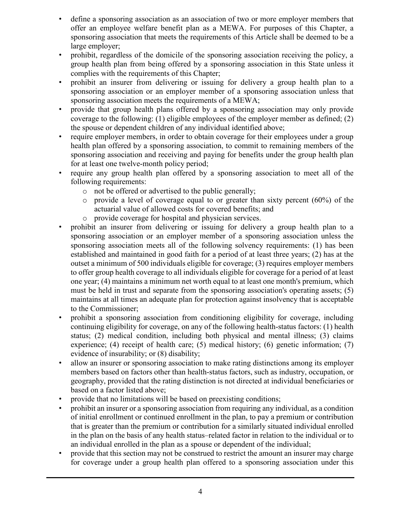- define a sponsoring association as an association of two or more employer members that offer an employee welfare benefit plan as a MEWA. For purposes of this Chapter, a sponsoring association that meets the requirements of this Article shall be deemed to be a large employer;
- prohibit, regardless of the domicile of the sponsoring association receiving the policy, a group health plan from being offered by a sponsoring association in this State unless it complies with the requirements of this Chapter;
- prohibit an insurer from delivering or issuing for delivery a group health plan to a sponsoring association or an employer member of a sponsoring association unless that sponsoring association meets the requirements of a MEWA;
- provide that group health plans offered by a sponsoring association may only provide coverage to the following: (1) eligible employees of the employer member as defined; (2) the spouse or dependent children of any individual identified above;
- require employer members, in order to obtain coverage for their employees under a group health plan offered by a sponsoring association, to commit to remaining members of the sponsoring association and receiving and paying for benefits under the group health plan for at least one twelve-month policy period;
- require any group health plan offered by a sponsoring association to meet all of the following requirements:
	- o not be offered or advertised to the public generally;
	- $\circ$  provide a level of coverage equal to or greater than sixty percent (60%) of the actuarial value of allowed costs for covered benefits; and
	- o provide coverage for hospital and physician services.
- prohibit an insurer from delivering or issuing for delivery a group health plan to a sponsoring association or an employer member of a sponsoring association unless the sponsoring association meets all of the following solvency requirements: (1) has been established and maintained in good faith for a period of at least three years; (2) has at the outset a minimum of 500 individuals eligible for coverage; (3) requires employer members to offer group health coverage to all individuals eligible for coverage for a period of at least one year; (4) maintains a minimum net worth equal to at least one month's premium, which must be held in trust and separate from the sponsoring association's operating assets; (5) maintains at all times an adequate plan for protection against insolvency that is acceptable to the Commissioner;
- prohibit a sponsoring association from conditioning eligibility for coverage, including continuing eligibility for coverage, on any of the following health-status factors: (1) health status; (2) medical condition, including both physical and mental illness; (3) claims experience; (4) receipt of health care; (5) medical history; (6) genetic information; (7) evidence of insurability; or (8) disability;
- allow an insurer or sponsoring association to make rating distinctions among its employer members based on factors other than health-status factors, such as industry, occupation, or geography, provided that the rating distinction is not directed at individual beneficiaries or based on a factor listed above;
- provide that no limitations will be based on preexisting conditions;
- prohibit an insurer or a sponsoring association from requiring any individual, as a condition of initial enrollment or continued enrollment in the plan, to pay a premium or contribution that is greater than the premium or contribution for a similarly situated individual enrolled in the plan on the basis of any health status–related factor in relation to the individual or to an individual enrolled in the plan as a spouse or dependent of the individual;
- provide that this section may not be construed to restrict the amount an insurer may charge for coverage under a group health plan offered to a sponsoring association under this